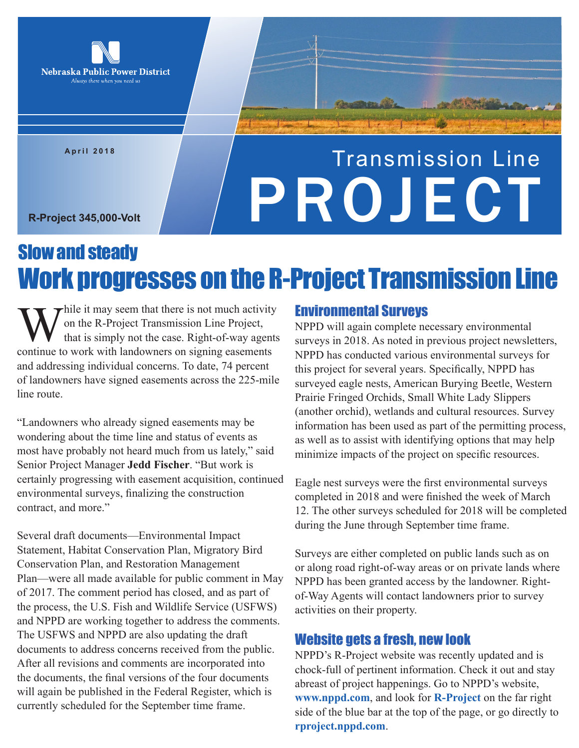

**April 2018**

# Transmission Line R-Project 345,000-Volt

## Slow and steady Work progresses on the R-Project Transmission Line

While it may seem that there is not much activity<br>on the R-Project Transmission Line Project,<br>that is simply not the case. Right-of-way agents<br>continue to work with landowners on signing easements on the R-Project Transmission Line Project, that is simply not the case. Right-of-way agents continue to work with landowners on signing easements and addressing individual concerns. To date, 74 percent of landowners have signed easements across the 225-mile line route.

"Landowners who already signed easements may be wondering about the time line and status of events as most have probably not heard much from us lately," said Senior Project Manager **Jedd Fischer**. "But work is certainly progressing with easement acquisition, continued environmental surveys, finalizing the construction contract, and more."

Several draft documents—Environmental Impact Statement, Habitat Conservation Plan, Migratory Bird Conservation Plan, and Restoration Management Plan—were all made available for public comment in May of 2017. The comment period has closed, and as part of the process, the U.S. Fish and Wildlife Service (USFWS) and NPPD are working together to address the comments. The USFWS and NPPD are also updating the draft documents to address concerns received from the public. After all revisions and comments are incorporated into the documents, the final versions of the four documents will again be published in the Federal Register, which is currently scheduled for the September time frame.

### Environmental Surveys

NPPD will again complete necessary environmental surveys in 2018. As noted in previous project newsletters, NPPD has conducted various environmental surveys for this project for several years. Specifically, NPPD has surveyed eagle nests, American Burying Beetle, Western Prairie Fringed Orchids, Small White Lady Slippers (another orchid), wetlands and cultural resources. Survey information has been used as part of the permitting process, as well as to assist with identifying options that may help minimize impacts of the project on specific resources.

Eagle nest surveys were the first environmental surveys completed in 2018 and were finished the week of March 12. The other surveys scheduled for 2018 will be completed during the June through September time frame.

Surveys are either completed on public lands such as on or along road right-of-way areas or on private lands where NPPD has been granted access by the landowner. Rightof-Way Agents will contact landowners prior to survey activities on their property.

### Website gets a fresh, new look

NPPD's R-Project website was recently updated and is chock-full of pertinent information. Check it out and stay abreast of project happenings. Go to NPPD's website, **www.nppd.com**, and look for **R-Project** on the far right side of the blue bar at the top of the page, or go directly to **rproject.nppd.com**.